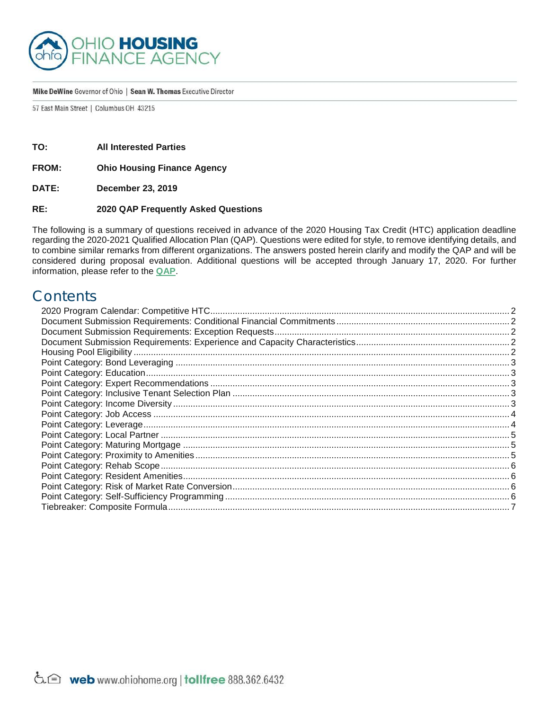

#### Mike DeWine Governor of Ohio | Sean W. Thomas Executive Director

57 East Main Street | Columbus OH 43215

**TO: All Interested Parties**

**FROM: Ohio Housing Finance Agency**

**DATE: December 23, 2019**

### **RE: 2020 QAP Frequently Asked Questions**

The following is a summary of questions received in advance of the 2020 Housing Tax Credit (HTC) application deadline regarding the 2020-2021 Qualified Allocation Plan (QAP). Questions were edited for style, to remove identifying details, and to combine similar remarks from different organizations. The answers posted herein clarify and modify the QAP and will be considered during proposal evaluation. Additional questions will be accepted through January 17, 2020. For further information, please refer to the **[QAP](http://ohiohome.org/ppd/htc.aspx)**.

# **Contents**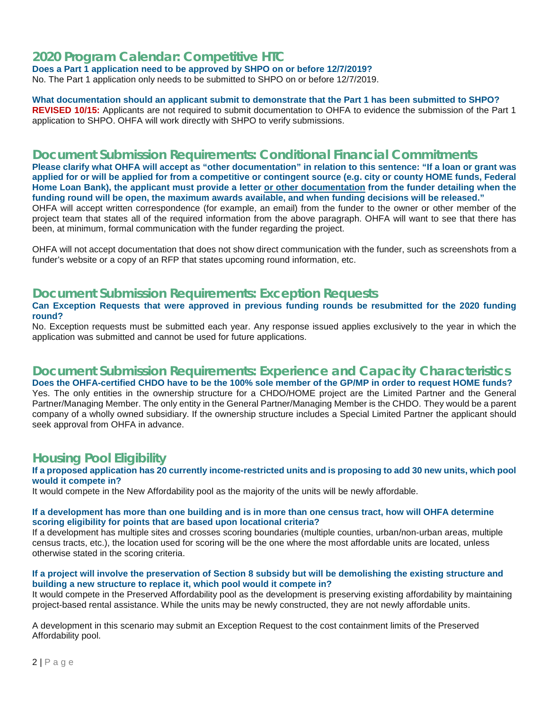# <span id="page-1-0"></span>**2020 Program Calendar: Competitive HTC**

**Does a Part 1 application need to be approved by SHPO on or before 12/7/2019?** 

No. The Part 1 application only needs to be submitted to SHPO on or before 12/7/2019.

#### **What documentation should an applicant submit to demonstrate that the Part 1 has been submitted to SHPO? REVISED 10/15:** Applicants are not required to submit documentation to OHFA to evidence the submission of the Part 1

application to SHPO. OHFA will work directly with SHPO to verify submissions.

# <span id="page-1-1"></span>**Document Submission Requirements: Conditional Financial Commitments**

**Please clarify what OHFA will accept as "other documentation" in relation to this sentence: "If a loan or grant was applied for or will be applied for from a competitive or contingent source (e.g. city or county HOME funds, Federal Home Loan Bank), the applicant must provide a letter or other documentation from the funder detailing when the funding round will be open, the maximum awards available, and when funding decisions will be released."**

OHFA will accept written correspondence (for example, an email) from the funder to the owner or other member of the project team that states all of the required information from the above paragraph. OHFA will want to see that there has been, at minimum, formal communication with the funder regarding the project.

OHFA will not accept documentation that does not show direct communication with the funder, such as screenshots from a funder's website or a copy of an RFP that states upcoming round information, etc.

## <span id="page-1-2"></span>**Document Submission Requirements: Exception Requests**

### **Can Exception Requests that were approved in previous funding rounds be resubmitted for the 2020 funding round?**

No. Exception requests must be submitted each year. Any response issued applies exclusively to the year in which the application was submitted and cannot be used for future applications.

# <span id="page-1-3"></span>**Document Submission Requirements: Experience and Capacity Characteristics**

**Does the OHFA-certified CHDO have to be the 100% sole member of the GP/MP in order to request HOME funds?** Yes. The only entities in the ownership structure for a CHDO/HOME project are the Limited Partner and the General Partner/Managing Member. The only entity in the General Partner/Managing Member is the CHDO. They would be a parent company of a wholly owned subsidiary. If the ownership structure includes a Special Limited Partner the applicant should seek approval from OHFA in advance.

# <span id="page-1-4"></span>**Housing Pool Eligibility**

### **If a proposed application has 20 currently income-restricted units and is proposing to add 30 new units, which pool would it compete in?**

It would compete in the New Affordability pool as the majority of the units will be newly affordable.

### **If a development has more than one building and is in more than one census tract, how will OHFA determine scoring eligibility for points that are based upon locational criteria?**

If a development has multiple sites and crosses scoring boundaries (multiple counties, urban/non-urban areas, multiple census tracts, etc.), the location used for scoring will be the one where the most affordable units are located, unless otherwise stated in the scoring criteria.

### **If a project will involve the preservation of Section 8 subsidy but will be demolishing the existing structure and building a new structure to replace it, which pool would it compete in?**

It would compete in the Preserved Affordability pool as the development is preserving existing affordability by maintaining project-based rental assistance. While the units may be newly constructed, they are not newly affordable units.

A development in this scenario may submit an Exception Request to the cost containment limits of the Preserved Affordability pool.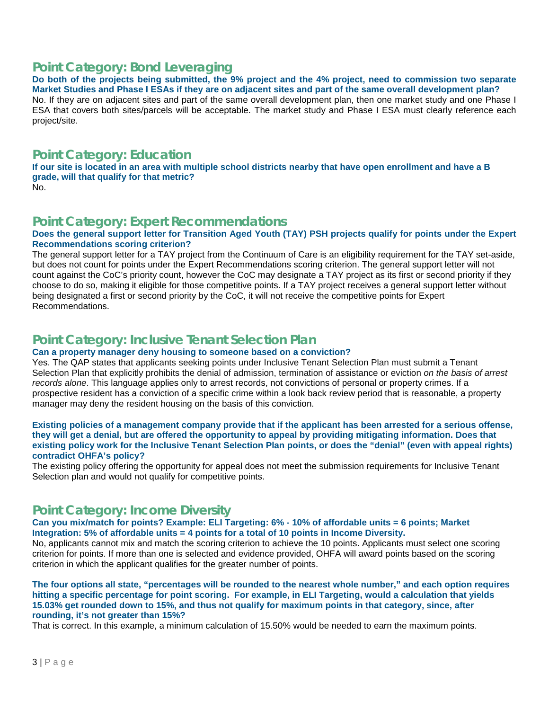# <span id="page-2-0"></span>**Point Category: Bond Leveraging**

**Do both of the projects being submitted, the 9% project and the 4% project, need to commission two separate Market Studies and Phase I ESAs if they are on adjacent sites and part of the same overall development plan?**  No. If they are on adjacent sites and part of the same overall development plan, then one market study and one Phase I ESA that covers both sites/parcels will be acceptable. The market study and Phase I ESA must clearly reference each project/site.

# <span id="page-2-1"></span>**Point Category: Education**

**If our site is located in an area with multiple school districts nearby that have open enrollment and have a B grade, will that qualify for that metric?**

### No.

# <span id="page-2-2"></span>**Point Category: Expert Recommendations**

### **Does the general support letter for Transition Aged Youth (TAY) PSH projects qualify for points under the Expert Recommendations scoring criterion?**

The general support letter for a TAY project from the Continuum of Care is an eligibility requirement for the TAY set-aside, but does not count for points under the Expert Recommendations scoring criterion. The general support letter will not count against the CoC's priority count, however the CoC may designate a TAY project as its first or second priority if they choose to do so, making it eligible for those competitive points. If a TAY project receives a general support letter without being designated a first or second priority by the CoC, it will not receive the competitive points for Expert Recommendations.

# <span id="page-2-3"></span>**Point Category: Inclusive Tenant Selection Plan**

## **Can a property manager deny housing to someone based on a conviction?**

Yes. The QAP states that applicants seeking points under Inclusive Tenant Selection Plan must submit a Tenant Selection Plan that explicitly prohibits the denial of admission, termination of assistance or eviction *on the basis of arrest records alone*. This language applies only to arrest records, not convictions of personal or property crimes. If a prospective resident has a conviction of a specific crime within a look back review period that is reasonable, a property manager may deny the resident housing on the basis of this conviction.

### **Existing policies of a management company provide that if the applicant has been arrested for a serious offense, they will get a denial, but are offered the opportunity to appeal by providing mitigating information. Does that existing policy work for the Inclusive Tenant Selection Plan points, or does the "denial" (even with appeal rights) contradict OHFA's policy?**

The existing policy offering the opportunity for appeal does not meet the submission requirements for Inclusive Tenant Selection plan and would not qualify for competitive points.

# <span id="page-2-4"></span>**Point Category: Income Diversity**

### **Can you mix/match for points? Example: ELI Targeting: 6% - 10% of affordable units = 6 points; Market Integration: 5% of affordable units = 4 points for a total of 10 points in Income Diversity.**

No, applicants cannot mix and match the scoring criterion to achieve the 10 points. Applicants must select one scoring criterion for points. If more than one is selected and evidence provided, OHFA will award points based on the scoring criterion in which the applicant qualifies for the greater number of points.

**The four options all state, "percentages will be rounded to the nearest whole number," and each option requires hitting a specific percentage for point scoring. For example, in ELI Targeting, would a calculation that yields 15.03% get rounded down to 15%, and thus not qualify for maximum points in that category, since, after rounding, it's not greater than 15%?** 

That is correct. In this example, a minimum calculation of 15.50% would be needed to earn the maximum points.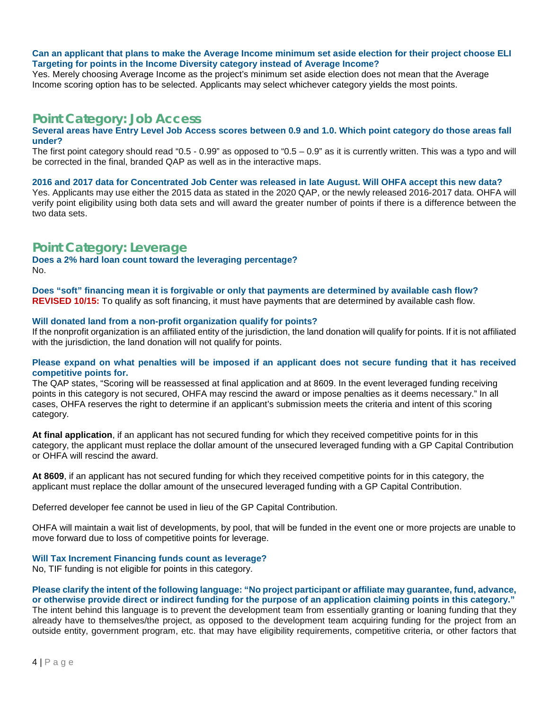### **Can an applicant that plans to make the Average Income minimum set aside election for their project choose ELI Targeting for points in the Income Diversity category instead of Average Income?**

Yes. Merely choosing Average Income as the project's minimum set aside election does not mean that the Average Income scoring option has to be selected. Applicants may select whichever category yields the most points.

## <span id="page-3-0"></span>**Point Category: Job Access**

#### **Several areas have Entry Level Job Access scores between 0.9 and 1.0. Which point category do those areas fall under?**

The first point category should read "0.5 - 0.99" as opposed to "0.5 - 0.9" as it is currently written. This was a typo and will be corrected in the final, branded QAP as well as in the interactive maps.

#### **2016 and 2017 data for Concentrated Job Center was released in late August. Will OHFA accept this new data?**

Yes. Applicants may use either the 2015 data as stated in the 2020 QAP, or the newly released 2016-2017 data. OHFA will verify point eligibility using both data sets and will award the greater number of points if there is a difference between the two data sets.

# <span id="page-3-1"></span>**Point Category: Leverage**

**Does a 2% hard loan count toward the leveraging percentage?** No.

**Does "soft" financing mean it is forgivable or only that payments are determined by available cash flow? REVISED 10/15:** To qualify as soft financing, it must have payments that are determined by available cash flow.

### **Will donated land from a non-profit organization qualify for points?**

If the nonprofit organization is an affiliated entity of the jurisdiction, the land donation will qualify for points. If it is not affiliated with the jurisdiction, the land donation will not qualify for points.

#### **Please expand on what penalties will be imposed if an applicant does not secure funding that it has received competitive points for.**

The QAP states, "Scoring will be reassessed at final application and at 8609. In the event leveraged funding receiving points in this category is not secured, OHFA may rescind the award or impose penalties as it deems necessary." In all cases, OHFA reserves the right to determine if an applicant's submission meets the criteria and intent of this scoring category.

**At final application**, if an applicant has not secured funding for which they received competitive points for in this category, the applicant must replace the dollar amount of the unsecured leveraged funding with a GP Capital Contribution or OHFA will rescind the award.

**At 8609**, if an applicant has not secured funding for which they received competitive points for in this category, the applicant must replace the dollar amount of the unsecured leveraged funding with a GP Capital Contribution.

Deferred developer fee cannot be used in lieu of the GP Capital Contribution.

OHFA will maintain a wait list of developments, by pool, that will be funded in the event one or more projects are unable to move forward due to loss of competitive points for leverage.

### **Will Tax Increment Financing funds count as leverage?**

No, TIF funding is not eligible for points in this category.

### **Please clarify the intent of the following language: "No project participant or affiliate may guarantee, fund, advance, or otherwise provide direct or indirect funding for the purpose of an application claiming points in this category."**

The intent behind this language is to prevent the development team from essentially granting or loaning funding that they already have to themselves/the project, as opposed to the development team acquiring funding for the project from an outside entity, government program, etc. that may have eligibility requirements, competitive criteria, or other factors that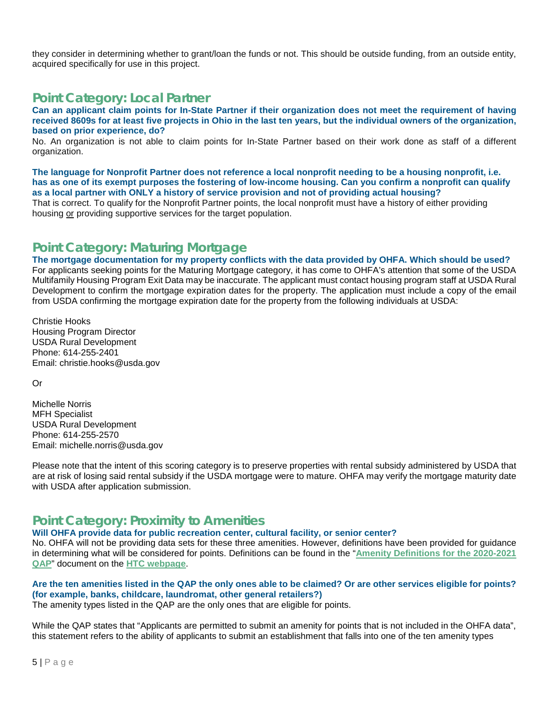they consider in determining whether to grant/loan the funds or not. This should be outside funding, from an outside entity, acquired specifically for use in this project.

# <span id="page-4-0"></span>**Point Category: Local Partner**

**Can an applicant claim points for In-State Partner if their organization does not meet the requirement of having received 8609s for at least five projects in Ohio in the last ten years, but the individual owners of the organization, based on prior experience, do?** 

No. An organization is not able to claim points for In-State Partner based on their work done as staff of a different organization.

**The language for Nonprofit Partner does not reference a local nonprofit needing to be a housing nonprofit, i.e. has as one of its exempt purposes the fostering of low-income housing. Can you confirm a nonprofit can qualify as a local partner with ONLY a history of service provision and not of providing actual housing?** 

That is correct. To qualify for the Nonprofit Partner points, the local nonprofit must have a history of either providing housing or providing supportive services for the target population.

# <span id="page-4-1"></span>**Point Category: Maturing Mortgage**

**The mortgage documentation for my property conflicts with the data provided by OHFA. Which should be used?** For applicants seeking points for the Maturing Mortgage category, it has come to OHFA's attention that some of the USDA Multifamily Housing Program Exit Data may be inaccurate. The applicant must contact housing program staff at USDA Rural Development to confirm the mortgage expiration dates for the property. The application must include a copy of the email from USDA confirming the mortgage expiration date for the property from the following individuals at USDA:

Christie Hooks Housing Program Director USDA Rural Development Phone: 614-255-2401 Email: christie.hooks@usda.gov

Or

Michelle Norris MFH Specialist USDA Rural Development Phone: 614-255-2570 Email: michelle.norris@usda.gov

Please note that the intent of this scoring category is to preserve properties with rental subsidy administered by USDA that are at risk of losing said rental subsidy if the USDA mortgage were to mature. OHFA may verify the mortgage maturity date with USDA after application submission.

# <span id="page-4-2"></span>**Point Category: Proximity to Amenities**

**Will OHFA provide data for public recreation center, cultural facility, or senior center?** 

No. OHFA will not be providing data sets for these three amenities. However, definitions have been provided for guidance in determining what will be considered for points. Definitions can be found in the "**[Amenity Definitions for the 2020-2021](http://ohiohome.org/ppd/documents/2020-21-QAP-Definitions.pdf)  [QAP](http://ohiohome.org/ppd/documents/2020-21-QAP-Definitions.pdf)**" document on the **[HTC webpage](http://ohiohome.org/ppd/htc.aspx)**.

## **Are the ten amenities listed in the QAP the only ones able to be claimed? Or are other services eligible for points? (for example, banks, childcare, laundromat, other general retailers?)**

The amenity types listed in the QAP are the only ones that are eligible for points.

While the QAP states that "Applicants are permitted to submit an amenity for points that is not included in the OHFA data", this statement refers to the ability of applicants to submit an establishment that falls into one of the ten amenity types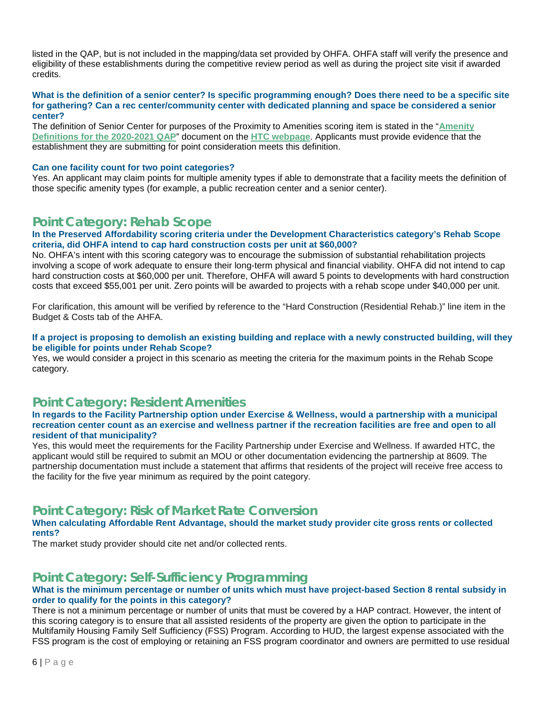listed in the QAP, but is not included in the mapping/data set provided by OHFA. OHFA staff will verify the presence and eligibility of these establishments during the competitive review period as well as during the project site visit if awarded credits.

#### **What is the definition of a senior center? Is specific programming enough? Does there need to be a specific site for gathering? Can a rec center/community center with dedicated planning and space be considered a senior center?**

The definition of Senior Center for purposes of the Proximity to Amenities scoring item is stated in the "**[Amenity](http://ohiohome.org/ppd/documents/2020-21-QAP-Definitions.pdf)  [Definitions for the 2020-2021 QAP](http://ohiohome.org/ppd/documents/2020-21-QAP-Definitions.pdf)**" document on the **[HTC webpage](http://ohiohome.org/ppd/htc.aspx)**. Applicants must provide evidence that the establishment they are submitting for point consideration meets this definition.

#### **Can one facility count for two point categories?**

Yes. An applicant may claim points for multiple amenity types if able to demonstrate that a facility meets the definition of those specific amenity types (for example, a public recreation center and a senior center).

# <span id="page-5-0"></span>**Point Category: Rehab Scope**

#### **In the Preserved Affordability scoring criteria under the Development Characteristics category's Rehab Scope criteria, did OHFA intend to cap hard construction costs per unit at \$60,000?**

No. OHFA's intent with this scoring category was to encourage the submission of substantial rehabilitation projects involving a scope of work adequate to ensure their long-term physical and financial viability. OHFA did not intend to cap hard construction costs at \$60,000 per unit. Therefore, OHFA will award 5 points to developments with hard construction costs that exceed \$55,001 per unit. Zero points will be awarded to projects with a rehab scope under \$40,000 per unit.

For clarification, this amount will be verified by reference to the "Hard Construction (Residential Rehab.)" line item in the Budget & Costs tab of the AHFA.

### **If a project is proposing to demolish an existing building and replace with a newly constructed building, will they be eligible for points under Rehab Scope?**

Yes, we would consider a project in this scenario as meeting the criteria for the maximum points in the Rehab Scope category.

# <span id="page-5-1"></span>**Point Category: Resident Amenities**

### **In regards to the Facility Partnership option under Exercise & Wellness, would a partnership with a municipal recreation center count as an exercise and wellness partner if the recreation facilities are free and open to all resident of that municipality?**

Yes, this would meet the requirements for the Facility Partnership under Exercise and Wellness. If awarded HTC, the applicant would still be required to submit an MOU or other documentation evidencing the partnership at 8609. The partnership documentation must include a statement that affirms that residents of the project will receive free access to the facility for the five year minimum as required by the point category.

# <span id="page-5-2"></span>**Point Category: Risk of Market Rate Conversion**

### **When calculating Affordable Rent Advantage, should the market study provider cite gross rents or collected rents?**

The market study provider should cite net and/or collected rents.

# <span id="page-5-3"></span>**Point Category: Self-Sufficiency Programming**

### **What is the minimum percentage or number of units which must have project-based Section 8 rental subsidy in order to qualify for the points in this category?**

There is not a minimum percentage or number of units that must be covered by a HAP contract. However, the intent of this scoring category is to ensure that all assisted residents of the property are given the option to participate in the Multifamily Housing Family Self Sufficiency (FSS) Program. According to HUD, the largest expense associated with the FSS program is the cost of employing or retaining an FSS program coordinator and owners are permitted to use residual